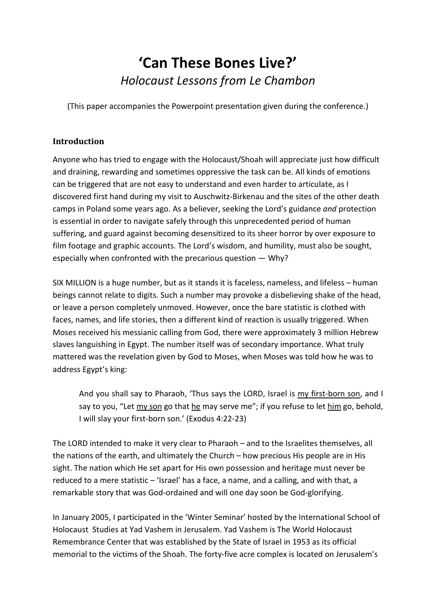# **'Can These Bones Live?'** *Holocaust Lessons from Le Chambon*

(This paper accompanies the Powerpoint presentation given during the conference.)

# **Introduction**

Anyone who has tried to engage with the Holocaust/Shoah will appreciate just how difficult and draining, rewarding and sometimes oppressive the task can be. All kinds of emotions can be triggered that are not easy to understand and even harder to articulate, as I discovered first hand during my visit to Auschwitz-Birkenau and the sites of the other death camps in Poland some years ago. As a believer, seeking the Lord's guidance *and* protection is essential in order to navigate safely through this unprecedented period of human suffering, and guard against becoming desensitized to its sheer horror by over exposure to film footage and graphic accounts. The Lord's wisdom, and humility, must also be sought, especially when confronted with the precarious question — Why?

SIX MILLION is a huge number, but as it stands it is faceless, nameless, and lifeless – human beings cannot relate to digits. Such a number may provoke a disbelieving shake of the head, or leave a person completely unmoved. However, once the bare statistic is clothed with faces, names, and life stories, then a different kind of reaction is usually triggered. When Moses received his messianic calling from God, there were approximately 3 million Hebrew slaves languishing in Egypt. The number itself was of secondary importance. What truly mattered was the revelation given by God to Moses, when Moses was told how he was to address Egypt's king:

And you shall say to Pharaoh, 'Thus says the LORD, Israel is my first-born son, and I say to you, "Let my son go that he may serve me"; if you refuse to let him go, behold, I will slay your first-born son.' (Exodus 4:22-23)

The LORD intended to make it very clear to Pharaoh – and to the Israelites themselves, all the nations of the earth, and ultimately the Church – how precious His people are in His sight. The nation which He set apart for His own possession and heritage must never be reduced to a mere statistic – 'Israel' has a face, a name, and a calling, and with that, a remarkable story that was God-ordained and will one day soon be God-glorifying.

In January 2005, I participated in the 'Winter Seminar' hosted by the International School of Holocaust Studies at Yad Vashem in Jerusalem. Yad Vashem is The World Holocaust Remembrance Center that was established by the State of Israel in 1953 as its official memorial to the victims of the Shoah. The forty-five acre complex is located on Jerusalem's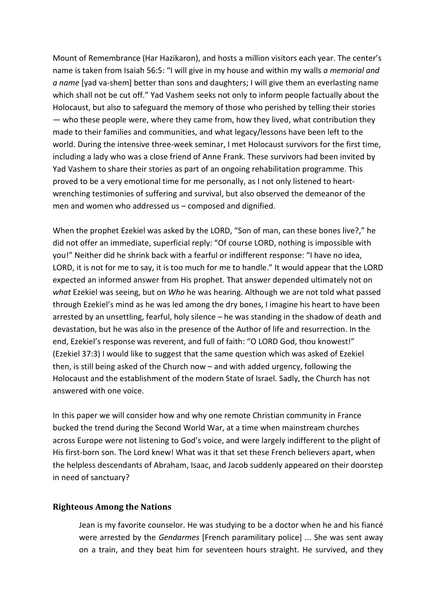Mount of Remembrance (Har Hazikaron), and hosts a million visitors each year. The center's name is taken from Isaiah 56:5: "I will give in my house and within my walls *a memorial and a name* [yad va-shem] better than sons and daughters; I will give them an everlasting name which shall not be cut off." Yad Vashem seeks not only to inform people factually about the Holocaust, but also to safeguard the memory of those who perished by telling their stories — who these people were, where they came from, how they lived, what contribution they made to their families and communities, and what legacy/lessons have been left to the world. During the intensive three-week seminar, I met Holocaust survivors for the first time, including a lady who was a close friend of Anne Frank. These survivors had been invited by Yad Vashem to share their stories as part of an ongoing rehabilitation programme. This proved to be a very emotional time for me personally, as I not only listened to heartwrenching testimonies of suffering and survival, but also observed the demeanor of the men and women who addressed us – composed and dignified.

When the prophet Ezekiel was asked by the LORD, "Son of man, can these bones live?," he did not offer an immediate, superficial reply: "Of course LORD, nothing is impossible with you!" Neither did he shrink back with a fearful or indifferent response: "I have no idea, LORD, it is not for me to say, it is too much for me to handle." It would appear that the LORD expected an informed answer from His prophet. That answer depended ultimately not on *what* Ezekiel was seeing, but on *Who* he was hearing. Although we are not told what passed through Ezekiel's mind as he was led among the dry bones, I imagine his heart to have been arrested by an unsettling, fearful, holy silence – he was standing in the shadow of death and devastation, but he was also in the presence of the Author of life and resurrection. In the end, Ezekiel's response was reverent, and full of faith: "O LORD God, thou knowest!" (Ezekiel 37:3) I would like to suggest that the same question which was asked of Ezekiel then, is still being asked of the Church now – and with added urgency, following the Holocaust and the establishment of the modern State of Israel. Sadly, the Church has not answered with one voice.

In this paper we will consider how and why one remote Christian community in France bucked the trend during the Second World War, at a time when mainstream churches across Europe were not listening to God's voice, and were largely indifferent to the plight of His first-born son. The Lord knew! What was it that set these French believers apart, when the helpless descendants of Abraham, Isaac, and Jacob suddenly appeared on their doorstep in need of sanctuary?

#### **Righteous Among the Nations**

Jean is my favorite counselor. He was studying to be a doctor when he and his fiancé were arrested by the *Gendarmes* [French paramilitary police] ... She was sent away on a train, and they beat him for seventeen hours straight. He survived, and they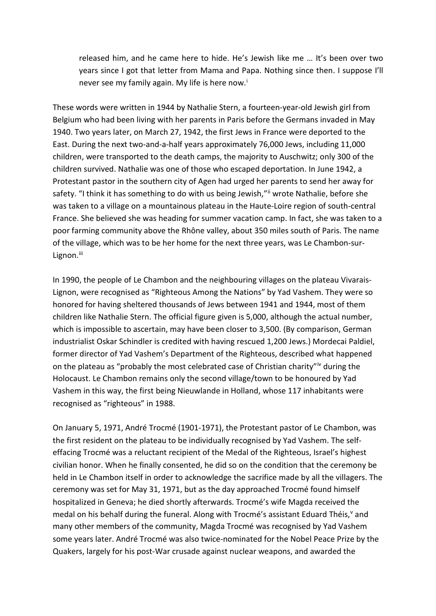released him, and he came here to hide. He's Jewish like me … It's been over two years since I got that letter from Mama and Papa. Nothing since then. I suppose I'll never see my fam[i](#page-14-0)ly again. My life is here now.<sup>i</sup>

These words were written in 1944 by Nathalie Stern, a fourteen-year-old Jewish girl from Belgium who had been living with her parents in Paris before the Germans invaded in May 1940. Two years later, on March 27, 1942, the first Jews in France were deported to the East. During the next two-and-a-half years approximately 76,000 Jews, including 11,000 children, were transported to the death camps, the majority to Auschwitz; only 300 of the children survived. Nathalie was one of those who escaped deportation. In June 1942, a Protestant pastor in the southern city of Agen had urged her parents to send her away for safety. "I think it has something to do with us being Jewish," wrote Nathalie, before she was taken to a village on a mountainous plateau in the Haute-Loire region of south-central France. She believed she was heading for summer vacation camp. In fact, she was taken to a poor farming community above the Rhône valley, about 350 miles south of Paris. The name of the village, which was to be her home for the next three years, was Le Chambon-surLignon.<sup>[iii](#page-14-2)</sup>

In 1990, the people of Le Chambon and the neighbouring villages on the plateau Vivarais-Lignon, were recognised as "Righteous Among the Nations" by Yad Vashem. They were so honored for having sheltered thousands of Jews between 1941 and 1944, most of them children like Nathalie Stern. The official figure given is 5,000, although the actual number, which is impossible to ascertain, may have been closer to 3,500. (By comparison, German industrialist Oskar Schindler is credited with having rescued 1,200 Jews.) Mordecai Paldiel, former director of Yad Vashem's Department of the Righteous, described what happened on the plateau as "probably the most celebrated case of Christian charity"[iv](#page-14-3) during the Holocaust. Le Chambon remains only the second village/town to be honoured by Yad Vashem in this way, the first being Nieuwlande in Holland, whose 117 inhabitants were recognised as "righteous" in 1988.

On January 5, 1971, André Trocmé (1901-1971), the Protestant pastor of Le Chambon, was the first resident on the plateau to be individually recognised by Yad Vashem. The selfeffacing Trocmé was a reluctant recipient of the Medal of the Righteous, Israel's highest civilian honor. When he finally consented, he did so on the condition that the ceremony be held in Le Chambon itself in order to acknowledge the sacrifice made by all the villagers. The ceremony was set for May 31, 1971, but as the day approached Trocmé found himself hospitalized in Geneva; he died shortly afterwards. Trocmé's wife Magda received the medal on his behalf during the funeral. Along with Trocmé's assistant Eduard Théis,<sup>v</sup> and many other members of the community, Magda Trocmé was recognised by Yad Vashem some years later. André Trocmé was also twice-nominated for the Nobel Peace Prize by the Quakers, largely for his post-War crusade against nuclear weapons, and awarded the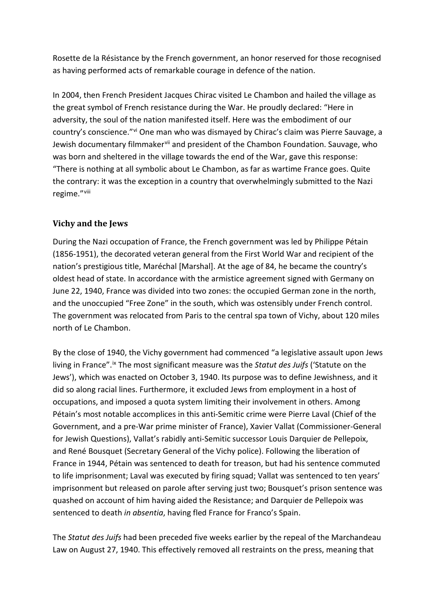Rosette de la Résistance by the French government, an honor reserved for those recognised as having performed acts of remarkable courage in defence of the nation.

In 2004, then French President Jacques Chirac visited Le Chambon and hailed the village as the great symbol of French resistance during the War. He proudly declared: "Here in adversity, the soul of the nation manifested itself. Here was the embodiment of our country's conscience."[vi](#page-14-5) One man who was dismayed by Chirac's claim was Pierre Sauvage, a Jewish documentary filmmaker<sup>[vii](#page-14-6)</sup> and president of the Chambon Foundation. Sauvage, who was born and sheltered in the village towards the end of the War, gave this response: "There is nothing at all symbolic about Le Chambon, as far as wartime France goes. Quite the contrary: it was the exception in a country that overwhelmingly submitted to the Nazi regime."[viii](#page-14-7)

# **Vichy and the Jews**

During the Nazi occupation of France, the French government was led by Philippe Pétain (1856-1951), the decorated veteran general from the First World War and recipient of the nation's prestigious title, Maréchal [Marshal]. At the age of 84, he became the country's oldest head of state. In accordance with the armistice agreement signed with Germany on June 22, 1940, France was divided into two zones: the occupied German zone in the north, and the unoccupied "Free Zone" in the south, which was ostensibly under French control. The government was relocated from Paris to the central spa town of Vichy, about 120 miles north of Le Chambon.

By the close of 1940, the Vichy government had commenced "a legislative assault upon Jews living in France"[.ix](#page-14-8) The most significant measure was the *Statut des Juifs* ('Statute on the Jews'), which was enacted on October 3, 1940. Its purpose was to define Jewishness, and it did so along racial lines. Furthermore, it excluded Jews from employment in a host of occupations, and imposed a quota system limiting their involvement in others. Among Pétain's most notable accomplices in this anti-Semitic crime were Pierre Laval (Chief of the Government, and a pre-War prime minister of France), Xavier Vallat (Commissioner-General for Jewish Questions), Vallat's rabidly anti-Semitic successor Louis Darquier de Pellepoix, and René Bousquet (Secretary General of the Vichy police). Following the liberation of France in 1944, Pétain was sentenced to death for treason, but had his sentence commuted to life imprisonment; Laval was executed by firing squad; Vallat was sentenced to ten years' imprisonment but released on parole after serving just two; Bousquet's prison sentence was quashed on account of him having aided the Resistance; and Darquier de Pellepoix was sentenced to death *in absentia*, having fled France for Franco's Spain.

The *Statut des Juifs* had been preceded five weeks earlier by the repeal of the Marchandeau Law on August 27, 1940. This effectively removed all restraints on the press, meaning that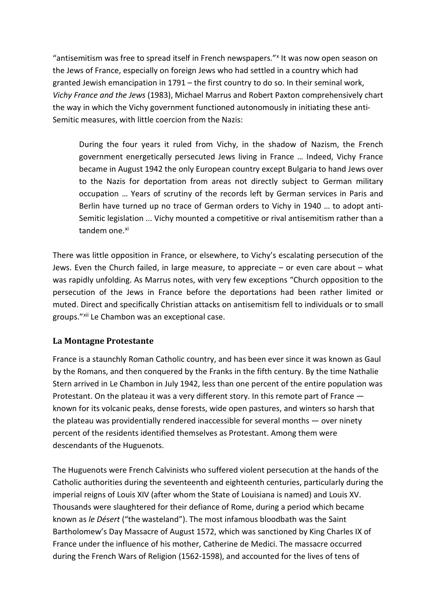"antisemitism was free to spread itself in French newspapers." It was now open season on the Jews of France, especially on foreign Jews who had settled in a country which had granted Jewish emancipation in 1791 – the first country to do so. In their seminal work, *Vichy France and the Jews* (1983), Michael Marrus and Robert Paxton comprehensively chart the way in which the Vichy government functioned autonomously in initiating these anti-Semitic measures, with little coercion from the Nazis:

During the four years it ruled from Vichy, in the shadow of Nazism, the French government energetically persecuted Jews living in France … Indeed, Vichy France became in August 1942 the only European country except Bulgaria to hand Jews over to the Nazis for deportation from areas not directly subject to German military occupation … Years of scrutiny of the records left by German services in Paris and Berlin have turned up no trace of German orders to Vichy in 1940 … to adopt anti-Semitic legislation ... Vichy mounted a competitive or rival antisemitism rather than a tandem one.<sup>[xi](#page-14-10)</sup>

There was little opposition in France, or elsewhere, to Vichy's escalating persecution of the Jews. Even the Church failed, in large measure, to appreciate – or even care about – what was rapidly unfolding. As Marrus notes, with very few exceptions "Church opposition to the persecution of the Jews in France before the deportations had been rather limited or muted. Direct and specifically Christian attacks on antisemitism fell to individuals or to small groups."[xii](#page-14-11) Le Chambon was an exceptional case.

# **La Montagne Protestante**

France is a staunchly Roman Catholic country, and has been ever since it was known as Gaul by the Romans, and then conquered by the Franks in the fifth century. By the time Nathalie Stern arrived in Le Chambon in July 1942, less than one percent of the entire population was Protestant. On the plateau it was a very different story. In this remote part of France known for its volcanic peaks, dense forests, wide open pastures, and winters so harsh that the plateau was providentially rendered inaccessible for several months — over ninety percent of the residents identified themselves as Protestant. Among them were descendants of the Huguenots.

The Huguenots were French Calvinists who suffered violent persecution at the hands of the Catholic authorities during the seventeenth and eighteenth centuries, particularly during the imperial reigns of Louis XIV (after whom the State of Louisiana is named) and Louis XV. Thousands were slaughtered for their defiance of Rome, during a period which became known as *le Désert* ("the wasteland"). The most infamous bloodbath was the Saint Bartholomew's Day Massacre of August 1572, which was sanctioned by King Charles IX of France under the influence of his mother, Catherine de Medici. The massacre occurred during the French Wars of Religion (1562-1598), and accounted for the lives of tens of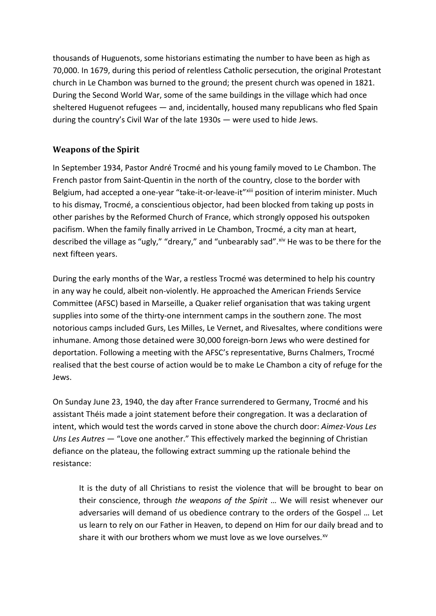thousands of Huguenots, some historians estimating the number to have been as high as 70,000. In 1679, during this period of relentless Catholic persecution, the original Protestant church in Le Chambon was burned to the ground; the present church was opened in 1821. During the Second World War, some of the same buildings in the village which had once sheltered Huguenot refugees — and, incidentally, housed many republicans who fled Spain during the country's Civil War of the late 1930s — were used to hide Jews.

#### **Weapons of the Spirit**

In September 1934, Pastor André Trocmé and his young family moved to Le Chambon. The French pastor from Saint-Quentin in the north of the country, close to the border with Belgium, had accepted a one-year "take-it-or-leave-it"<sup>[xiii](#page-14-12)</sup> position of interim minister. Much to his dismay, Trocmé, a conscientious objector, had been blocked from taking up posts in other parishes by the Reformed Church of France, which strongly opposed his outspoken pacifism. When the family finally arrived in Le Chambon, Trocmé, a city man at heart, described the village as "ugly," "dreary," and "unbearably sad". Xiv He was to be there for the next fifteen years.

During the early months of the War, a restless Trocmé was determined to help his country in any way he could, albeit non-violently. He approached the American Friends Service Committee (AFSC) based in Marseille, a Quaker relief organisation that was taking urgent supplies into some of the thirty-one internment camps in the southern zone. The most notorious camps included Gurs, Les Milles, Le Vernet, and Rivesaltes, where conditions were inhumane. Among those detained were 30,000 foreign-born Jews who were destined for deportation. Following a meeting with the AFSC's representative, Burns Chalmers, Trocmé realised that the best course of action would be to make Le Chambon a city of refuge for the Jews.

On Sunday June 23, 1940, the day after France surrendered to Germany, Trocmé and his assistant Théis made a joint statement before their congregation. It was a declaration of intent, which would test the words carved in stone above the church door: *Aimez-Vous Les Uns Les Autres* — "Love one another." This effectively marked the beginning of Christian defiance on the plateau, the following extract summing up the rationale behind the resistance:

It is the duty of all Christians to resist the violence that will be brought to bear on their conscience, through *the weapons of the Spirit* … We will resist whenever our adversaries will demand of us obedience contrary to the orders of the Gospel … Let us learn to rely on our Father in Heaven, to depend on Him for our daily bread and to share it with our brothers whom we must love as we love ourselves. $x<sup>2</sup>$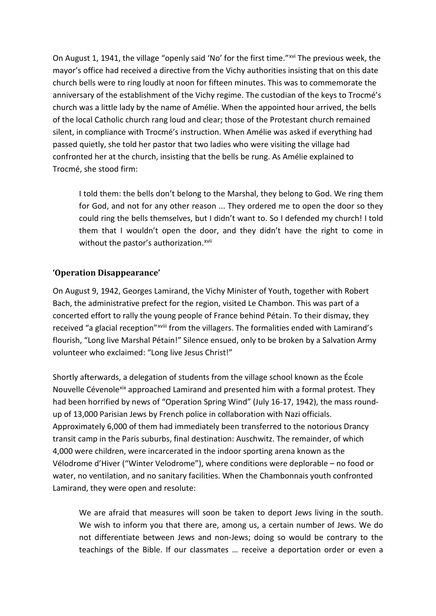On August 1, 1941, the village "openly said 'No' for the first time."[xvi](#page-14-15) The previous week, the mayor's office had received a directive from the Vichy authorities insisting that on this date church bells were to ring loudly at noon for fifteen minutes. This was to commemorate the anniversary of the establishment of the Vichy regime. The custodian of the keys to Trocmé's church was a little lady by the name of Amélie. When the appointed hour arrived, the bells of the local Catholic church rang loud and clear; those of the Protestant church remained silent, in compliance with Trocmé's instruction. When Amélie was asked if everything had passed quietly, she told her pastor that two ladies who were visiting the village had confronted her at the church, insisting that the bells be rung. As Amélie explained to Trocmé, she stood firm:

I told them: the bells don't belong to the Marshal, they belong to God. We ring them for God, and not for any other reason ... They ordered me to open the door so they could ring the bells themselves, but I didn't want to. So I defended my church! I told them that I wouldn't open the door, and they didn't have the right to come in without the pastor's authorization.<sup>[xvii](#page-14-16)</sup>

### **'Operation Disappearance'**

On August 9, 1942, Georges Lamirand, the Vichy Minister of Youth, together with Robert Bach, the administrative prefect for the region, visited Le Chambon. This was part of a concerted effort to rally the young people of France behind Pétain. To their dismay, they received "a glacial reception"<sup>xviii</sup> [f](#page-14-17)rom the villagers. The formalities ended with Lamirand's flourish, "Long live Marshal Pétain!" Silence ensued, only to be broken by a Salvation Army volunteer who exclaimed: "Long live Jesus Christ!"

Shortly afterwards, a delegation of students from the village school known as the École Nouvelle Cévenole[xix](#page-15-0) approached Lamirand and presented him with a formal protest. They had been horrified by news of "Operation Spring Wind" (July 16-17, 1942), the mass roundup of 13,000 Parisian Jews by French police in collaboration with Nazi officials. Approximately 6,000 of them had immediately been transferred to the notorious Drancy transit camp in the Paris suburbs, final destination: Auschwitz. The remainder, of which 4,000 were children, were incarcerated in the indoor sporting arena known as the Vélodrome d'Hiver ("Winter Velodrome"), where conditions were deplorable – no food or water, no ventilation, and no sanitary facilities. When the Chambonnais youth confronted Lamirand, they were open and resolute:

We are afraid that measures will soon be taken to deport Jews living in the south. We wish to inform you that there are, among us, a certain number of Jews. We do not differentiate between Jews and non-Jews; doing so would be contrary to the teachings of the Bible. If our classmates … receive a deportation order or even a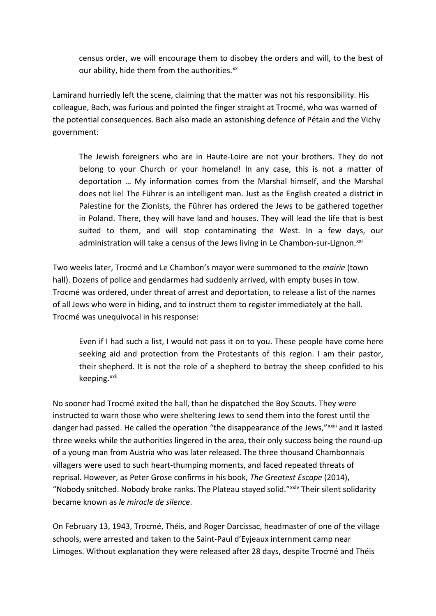census order, we will encourage them to disobey the orders and will, to the best of our ability, hide them from the authorities.<sup>[xx](#page-15-1)</sup>

Lamirand hurriedly left the scene, claiming that the matter was not his responsibility. His colleague, Bach, was furious and pointed the finger straight at Trocmé, who was warned of the potential consequences. Bach also made an astonishing defence of Pétain and the Vichy government:

The Jewish foreigners who are in Haute-Loire are not your brothers. They do not belong to your Church or your homeland! In any case, this is not a matter of deportation … My information comes from the Marshal himself, and the Marshal does not lie! The Führer is an intelligent man. Just as the English created a district in Palestine for the Zionists, the Führer has ordered the Jews to be gathered together in Poland. There, they will have land and houses. They will lead the life that is best suited to them, and will stop contaminating the West. In a few days, our administration will take a census of the Jews living in Le Chambon-sur-Lignon.<sup>[xxi](#page-15-2)</sup>

Two weeks later, Trocmé and Le Chambon's mayor were summoned to the *mairie* (town hall). Dozens of police and gendarmes had suddenly arrived, with empty buses in tow. Trocmé was ordered, under threat of arrest and deportation, to release a list of the names of all Jews who were in hiding, and to instruct them to register immediately at the hall. Trocmé was unequivocal in his response:

Even if I had such a list, I would not pass it on to you. These people have come here seeking aid and protection from the Protestants of this region. I am their pastor, their shepherd. It is not the role of a shepherd to betray the sheep confided to his keeping.<sup>[xxii](#page-15-3)</sup>

No sooner had Trocmé exited the hall, than he dispatched the Boy Scouts. They were instructed to warn those who were sheltering Jews to send them into the forest until the danger had passed. He called the operat[i](#page-15-4)on "the disappearance of the Jews," xxiii and it lasted three weeks while the authorities lingered in the area, their only success being the round-up of a young man from Austria who was later released. The three thousand Chambonnais villagers were used to such heart-thumping moments, and faced repeated threats of reprisal. However, as Peter Grose confirms in his book, *The Greatest Escape* (2014), "Nobody snitched. Nobody broke ranks. The Plateau stayed solid."<sup>[xxiv](#page-15-5)</sup> Their silent solidarity became known as *le miracle de silence*.

On February 13, 1943, Trocmé, Théis, and Roger Darcissac, headmaster of one of the village schools, were arrested and taken to the Saint-Paul d'Eyjeaux internment camp near Limoges. Without explanation they were released after 28 days, despite Trocmé and Théis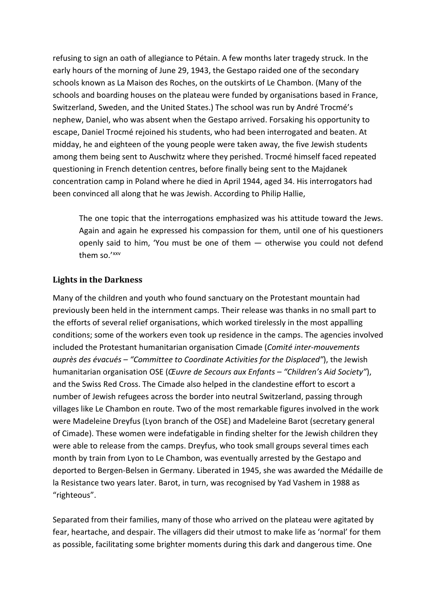refusing to sign an oath of allegiance to Pétain. A few months later tragedy struck. In the early hours of the morning of June 29, 1943, the Gestapo raided one of the secondary schools known as La Maison des Roches, on the outskirts of Le Chambon. (Many of the schools and boarding houses on the plateau were funded by organisations based in France, Switzerland, Sweden, and the United States.) The school was run by André Trocmé's nephew, Daniel, who was absent when the Gestapo arrived. Forsaking his opportunity to escape, Daniel Trocmé rejoined his students, who had been interrogated and beaten. At midday, he and eighteen of the young people were taken away, the five Jewish students among them being sent to Auschwitz where they perished. Trocmé himself faced repeated questioning in French detention centres, before finally being sent to the Majdanek concentration camp in Poland where he died in April 1944, aged 34. His interrogators had been convinced all along that he was Jewish. According to Philip Hallie,

The one topic that the interrogations emphasized was his attitude toward the Jews. Again and again he expressed his compassion for them, until one of his questioners openly said to him, 'You must be one of them — otherwise you could not defend them so.' [xxv](#page-15-6) 

### **Lights in the Darkness**

Many of the children and youth who found sanctuary on the Protestant mountain had previously been held in the internment camps. Their release was thanks in no small part to the efforts of several relief organisations, which worked tirelessly in the most appalling conditions; some of the workers even took up residence in the camps. The agencies involved included the Protestant humanitarian organisation Cimade (*Comité inter-mouvements auprès des évacués – "Committee to Coordinate Activities for the Displaced"*), the Jewish humanitarian organisation OSE (*Œuvre de Secours aux Enfants – "Children's Aid Society"*), and the Swiss Red Cross. The Cimade also helped in the clandestine effort to escort a number of Jewish refugees across the border into neutral Switzerland, passing through villages like Le Chambon en route. Two of the most remarkable figures involved in the work were Madeleine Dreyfus (Lyon branch of the OSE) and Madeleine Barot (secretary general of Cimade). These women were indefatigable in finding shelter for the Jewish children they were able to release from the camps. Dreyfus, who took small groups several times each month by train from Lyon to Le Chambon, was eventually arrested by the Gestapo and deported to Bergen-Belsen in Germany. Liberated in 1945, she was awarded the Médaille de la Resistance two years later. Barot, in turn, was recognised by Yad Vashem in 1988 as "righteous".

Separated from their families, many of those who arrived on the plateau were agitated by fear, heartache, and despair. The villagers did their utmost to make life as 'normal' for them as possible, facilitating some brighter moments during this dark and dangerous time. One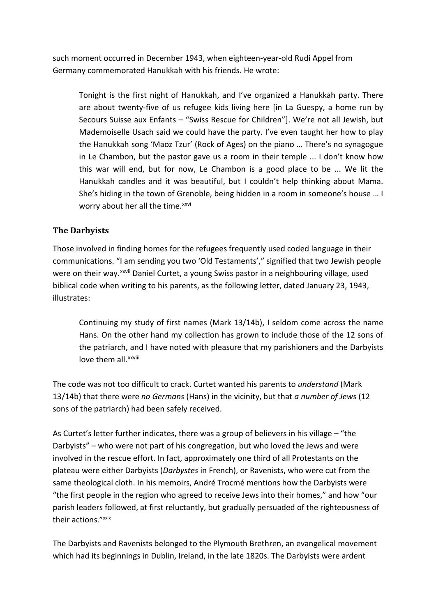such moment occurred in December 1943, when eighteen-year-old Rudi Appel from Germany commemorated Hanukkah with his friends. He wrote:

Tonight is the first night of Hanukkah, and I've organized a Hanukkah party. There are about twenty-five of us refugee kids living here [in La Guespy, a home run by Secours Suisse aux Enfants – "Swiss Rescue for Children"]. We're not all Jewish, but Mademoiselle Usach said we could have the party. I've even taught her how to play the Hanukkah song 'Maoz Tzur' (Rock of Ages) on the piano … There's no synagogue in Le Chambon, but the pastor gave us a room in their temple ... I don't know how this war will end, but for now, Le Chambon is a good place to be ... We lit the Hanukkah candles and it was beautiful, but I couldn't help thinking about Mama. She's hiding in the town of Grenoble, being hidden in a room in someone's house … I worry about her all the time.<sup>[xxvi](#page-15-7)</sup>

### **The Darbyists**

Those involved in finding homes for the refugees frequently used coded language in their communications. "I am sending you two 'Old Testaments'," signified that two Jewish people were on the[i](#page-15-8)r way. xxvii Daniel Curtet, a young Swiss pastor in a neighbouring village, used biblical code when writing to his parents, as the following letter, dated January 23, 1943, illustrates:

Continuing my study of first names (Mark 13/14b), I seldom come across the name Hans. On the other hand my collection has grown to include those of the 12 sons of the patriarch, and I have noted with pleasure that my parishioners and the Darbyists love them all.<sup>xxviii</sup>

The code was not too difficult to crack. Curtet wanted his parents to *understand* (Mark 13/14b) that there were *no Germans* (Hans) in the vicinity, but that *a number of Jews* (12 sons of the patriarch) had been safely received.

As Curtet's letter further indicates, there was a group of believers in his village – "the Darbyists" – who were not part of his congregation, but who loved the Jews and were involved in the rescue effort. In fact, approximately one third of all Protestants on the plateau were either Darbyists (*Darbystes* in French), or Ravenists, who were cut from the same theological cloth. In his memoirs, André Trocmé mentions how the Darbyists were "the first people in the region who agreed to receive Jews into their homes," and how "our parish leaders followed, at first reluctantly, but gradually persuaded of the righteousness of their actions."<sup>[xxix](#page-15-9)</sup>

The Darbyists and Ravenists belonged to the Plymouth Brethren, an evangelical movement which had its beginnings in Dublin, Ireland, in the late 1820s. The Darbyists were ardent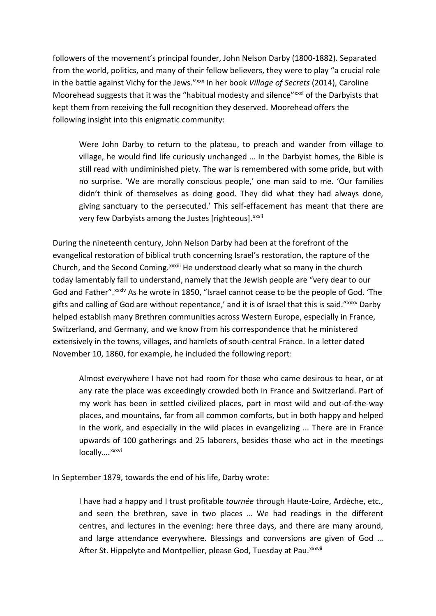followers of the movement's principal founder, John Nelson Darby (1800-1882). Separated from the world, politics, and many of their fellow believers, they were to play "a crucial role in the battle against Vichy for the Jews."<sup>[xxx](#page-15-10)</sup> In her book *Village of Secrets* (2014), Caroline Moorehead suggests that it was the "habitual modesty and silence" xxxi of the Darbyists that kept them from receiving the full recognition they deserved. Moorehead offers the following insight into this enigmatic community:

Were John Darby to return to the plateau, to preach and wander from village to village, he would find life curiously unchanged … In the Darbyist homes, the Bible is still read with undiminished piety. The war is remembered with some pride, but with no surprise. 'We are morally conscious people,' one man said to me. 'Our families didn't think of themselves as doing good. They did what they had always done, giving sanctuary to the persecuted.' This self-effacement has meant that there are very few Darby[i](#page-15-12)sts among the Justes [righteous]. XXXII

During the nineteenth century, John Nelson Darby had been at the forefront of the evangelical restoration of biblical truth concerning Israel's restoration, the rapture of the Church, and the Second Coming. XXXIII [H](#page-15-13)e understood clearly what so many in the church God and Father". xxxiv [A](#page-15-14)s he wrote in 1850, "Israel cannot cease to be the people of God. 'The today lamentably fail to understand, namely that the Jewish people are "very dear to our gifts and calling of God are without repentance,' and it is of Israel that this is said." [xxxv](#page-15-15) Darby helped establish many Brethren communities across Western Europe, especially in France, Switzerland, and Germany, and we know from his correspondence that he ministered extensively in the towns, villages, and hamlets of south-central France. In a letter dated November 10, 1860, for example, he included the following report:

Almost everywhere I have not had room for those who came desirous to hear, or at any rate the place was exceedingly crowded both in France and Switzerland. Part of my work has been in settled civilized places, part in most wild and out-of-the-way places, and mountains, far from all common comforts, but in both happy and helped in the work, and especially in the wild places in evangelizing ... There are in France upwards of 100 gatherings and 25 laborers, besides those who act in the meetings locally....<sup>xxxvi</sup>

In September 1879, towards the end of his life, Darby wrote:

I have had a happy and I trust profitable *tournée* through Haute-Loire, Ardèche, etc., and seen the brethren, save in two places … We had readings in the different centres, and lectures in the evening: here three days, and there are many around, and large attendance everywhere. Blessings and conversions are given of God … After St. H[i](#page-15-16)ppolyte and Montpellier, please God, Tuesday at Pau. xxxvii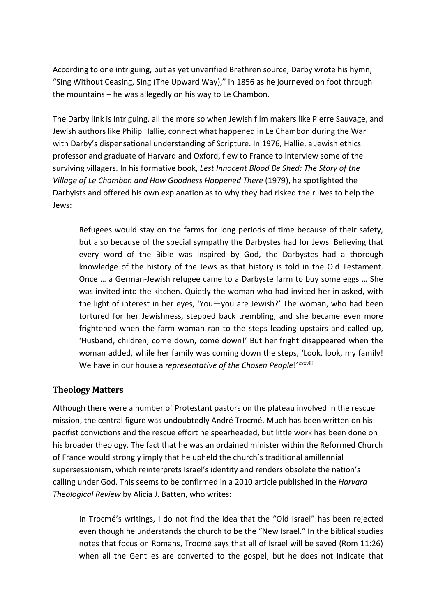According to one intriguing, but as yet unverified Brethren source, Darby wrote his hymn, "Sing Without Ceasing, Sing (The Upward Way)," in 1856 as he journeyed on foot through the mountains – he was allegedly on his way to Le Chambon.

The Darby link is intriguing, all the more so when Jewish film makers like Pierre Sauvage, and Jewish authors like Philip Hallie, connect what happened in Le Chambon during the War with Darby's dispensational understanding of Scripture. In 1976, Hallie, a Jewish ethics professor and graduate of Harvard and Oxford, flew to France to interview some of the surviving villagers. In his formative book, *Lest Innocent Blood Be Shed: The Story of the Village of Le Chambon and How Goodness Happened There* (1979), he spotlighted the Darbyists and offered his own explanation as to why they had risked their lives to help the Jews:

Refugees would stay on the farms for long periods of time because of their safety, but also because of the special sympathy the Darbystes had for Jews. Believing that every word of the Bible was inspired by God, the Darbystes had a thorough knowledge of the history of the Jews as that history is told in the Old Testament. Once … a German-Jewish refugee came to a Darbyste farm to buy some eggs … She was invited into the kitchen. Quietly the woman who had invited her in asked, with the light of interest in her eyes, 'You—you are Jewish?' The woman, who had been tortured for her Jewishness, stepped back trembling, and she became even more frightened when the farm woman ran to the steps leading upstairs and called up, 'Husband, children, come down, come down!' But her fright disappeared when the woman added, while her family was coming down the steps, 'Look, look, my family! We have [i](#page-15-17)n our house a *representative of the Chosen People!'xxxviii* 

#### **Theology Matters**

Although there were a number of Protestant pastors on the plateau involved in the rescue mission, the central figure was undoubtedly André Trocmé. Much has been written on his pacifist convictions and the rescue effort he spearheaded, but little work has been done on his broader theology. The fact that he was an ordained minister within the Reformed Church of France would strongly imply that he upheld the church's traditional amillennial supersessionism, which reinterprets Israel's identity and renders obsolete the nation's calling under God. This seems to be confirmed in a 2010 article published in the *Harvard Theological Review* by Alicia J. Batten, who writes:

In Trocmé's writings, I do not find the idea that the "Old Israel" has been rejected even though he understands the church to be the "New Israel." In the biblical studies notes that focus on Romans, Trocmé says that all of Israel will be saved (Rom 11:26) when all the Gentiles are converted to the gospel, but he does not indicate that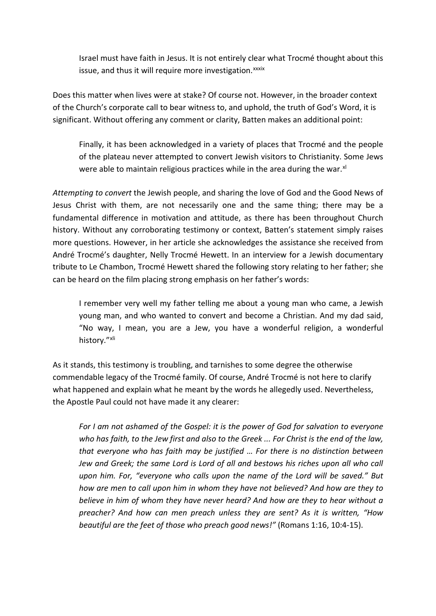Israel must have faith in Jesus. It is not entirely clear what Trocmé thought about this issue, and thus it will require more investigation.<sup>[x](#page-15-18)xxix</sup>

Does this matter when lives were at stake? Of course not. However, in the broader context of the Church's corporate call to bear witness to, and uphold, the truth of God's Word, it is significant. Without offering any comment or clarity, Batten makes an additional point:

Finally, it has been acknowledged in a variety of places that Trocmé and the people of the plateau never attempted to convert Jewish visitors to Christianity. Some Jews were able to maintain religious practices while in the area during the war. $x^1$ 

*Attempting to convert* the Jewish people, and sharing the love of God and the Good News of Jesus Christ with them, are not necessarily one and the same thing; there may be a fundamental difference in motivation and attitude, as there has been throughout Church history. Without any corroborating testimony or context, Batten's statement simply raises more questions. However, in her article she acknowledges the assistance she received from André Trocmé's daughter, Nelly Trocmé Hewett. In an interview for a Jewish documentary tribute to Le Chambon, Trocmé Hewett shared the following story relating to her father; she can be heard on the film placing strong emphasis on her father's words:

I remember very well my father telling me about a young man who came, a Jewish young man, and who wanted to convert and become a Christian. And my dad said, "No way, I mean, you are a Jew, you have a wonderful religion, a wonderful history."[xli](#page-15-20)

As it stands, this testimony is troubling, and tarnishes to some degree the otherwise commendable legacy of the Trocmé family. Of course, André Trocmé is not here to clarify what happened and explain what he meant by the words he allegedly used. Nevertheless, the Apostle Paul could not have made it any clearer:

*For I am not ashamed of the Gospel: it is the power of God for salvation to everyone who has faith, to the Jew first and also to the Greek ... For Christ is the end of the law, that everyone who has faith may be justified … For there is no distinction between Jew and Greek; the same Lord is Lord of all and bestows his riches upon all who call upon him. For, "everyone who calls upon the name of the Lord will be saved." But how are men to call upon him in whom they have not believed? And how are they to believe in him of whom they have never heard? And how are they to hear without a preacher? And how can men preach unless they are sent? As it is written, "How beautiful are the feet of those who preach good news!"* (Romans 1:16, 10:4-15).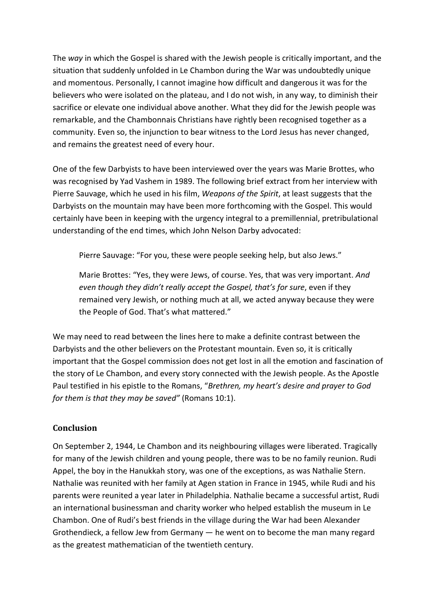The *way* in which the Gospel is shared with the Jewish people is critically important, and the situation that suddenly unfolded in Le Chambon during the War was undoubtedly unique and momentous. Personally, I cannot imagine how difficult and dangerous it was for the believers who were isolated on the plateau, and I do not wish, in any way, to diminish their sacrifice or elevate one individual above another. What they did for the Jewish people was remarkable, and the Chambonnais Christians have rightly been recognised together as a community. Even so, the injunction to bear witness to the Lord Jesus has never changed, and remains the greatest need of every hour.

One of the few Darbyists to have been interviewed over the years was Marie Brottes, who was recognised by Yad Vashem in 1989. The following brief extract from her interview with Pierre Sauvage, which he used in his film, *Weapons of the Spirit*, at least suggests that the Darbyists on the mountain may have been more forthcoming with the Gospel. This would certainly have been in keeping with the urgency integral to a premillennial, pretribulational understanding of the end times, which John Nelson Darby advocated:

Pierre Sauvage: "For you, these were people seeking help, but also Jews."

Marie Brottes: "Yes, they were Jews, of course. Yes, that was very important. *And even though they didn't really accept the Gospel, that's for sure*, even if they remained very Jewish, or nothing much at all, we acted anyway because they were the People of God. That's what mattered."

We may need to read between the lines here to make a definite contrast between the Darbyists and the other believers on the Protestant mountain. Even so, it is critically important that the Gospel commission does not get lost in all the emotion and fascination of the story of Le Chambon, and every story connected with the Jewish people. As the Apostle Paul testified in his epistle to the Romans, "*Brethren, my heart's desire and prayer to God for them is that they may be saved"* (Romans 10:1).

# **Conclusion**

On September 2, 1944, Le Chambon and its neighbouring villages were liberated. Tragically for many of the Jewish children and young people, there was to be no family reunion. Rudi Appel, the boy in the Hanukkah story, was one of the exceptions, as was Nathalie Stern. Nathalie was reunited with her family at Agen station in France in 1945, while Rudi and his parents were reunited a year later in Philadelphia. Nathalie became a successful artist, Rudi an international businessman and charity worker who helped establish the museum in Le Chambon. One of Rudi's best friends in the village during the War had been Alexander Grothendieck, a fellow Jew from Germany — he went on to become the man many regard as the greatest mathematician of the twentieth century.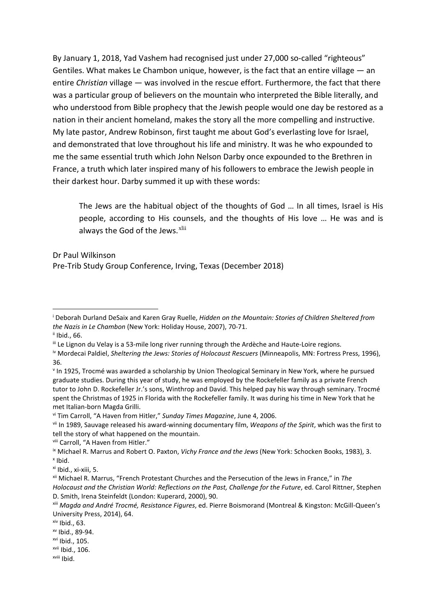By January 1, 2018, Yad Vashem had recognised just under 27,000 so-called "righteous" Gentiles. What makes Le Chambon unique, however, is the fact that an entire village  $-$  an entire *Christian* village — was involved in the rescue effort. Furthermore, the fact that there was a particular group of believers on the mountain who interpreted the Bible literally, and who understood from Bible prophecy that the Jewish people would one day be restored as a nation in their ancient homeland, makes the story all the more compelling and instructive. My late pastor, Andrew Robinson, first taught me about God's everlasting love for Israel, and demonstrated that love throughout his life and ministry. It was he who expounded to me the same essential truth which John Nelson Darby once expounded to the Brethren in France, a truth which later inspired many of his followers to embrace the Jewish people in their darkest hour. Darby summed it up with these words:

The Jews are the habitual object of the thoughts of God … In all times, Israel is His people, according to His counsels, and the thoughts of His love … He was and is always the God of the Jews.<sup>[xlii](#page-15-21)</sup>

Dr Paul Wilkinson Pre-Trib Study Group Conference, Irving, Texas (December 2018)

- <span id="page-14-6"></span>vii In 1989, Sauvage released his award-winning documentary film, *Weapons of the Spirit*, which was the first to tell the story of what happened on the mountain.
- 

<span id="page-14-0"></span>i Deborah Durland DeSaix and Karen Gray Ruelle, *Hidden on the Mountain: Stories of Children Sheltered from the Nazis in Le Chambon* (New York: Holiday House, 2007), 70-71.

<span id="page-14-1"></span>ii Ibid., 66.

<span id="page-14-2"></span>iii Le Lignon du Velay is a 53-mile long river running through the Ardèche and Haute-Loire regions.

<span id="page-14-3"></span>iv Mordecai Paldiel, *Sheltering the Jews: Stories of Holocaust Rescuers* (Minneapolis, MN: Fortress Press, 1996), 36.

<span id="page-14-4"></span><sup>v</sup> In 1925, Trocmé was awarded a scholarship by Union Theological Seminary in New York, where he pursued graduate studies. During this year of study, he was employed by the Rockefeller family as a private French tutor to John D. Rockefeller Jr.'s sons, Winthrop and David. This helped pay his way through seminary. Trocmé spent the Christmas of 1925 in Florida with the Rockefeller family. It was during his time in New York that he met Italian-born Magda Grilli.

<span id="page-14-5"></span>vi Tim Carroll, "A Haven from Hitler," *Sunday Times Magazine*, June 4, 2006.

<span id="page-14-8"></span><span id="page-14-7"></span><sup>&</sup>lt;sup>viii</sup> Carroll, "A Haven from Hitler."<br><sup>ix</sup> Michael R. Marrus and Robert O. Paxton, *Vichy France and the Jews* (New York: Schocken Books, 1983), 3. <sup>x</sup> Ibid.

<span id="page-14-10"></span><span id="page-14-9"></span>xi Ibid., xi-xiii, 5.

<span id="page-14-11"></span>xii Michael R. Marrus, "French Protestant Churches and the Persecution of the Jews in France," in *The Holocaust and the Christian World: Reflections on the Past, Challenge for the Future*, ed. Carol Rittner, Stephen D. Smith, Irena Steinfeldt (London: Kuperard, 2000), 90.

<span id="page-14-12"></span>xiii *Magda and André Trocmé, Resistance Figures*, ed. Pierre Boismorand (Montreal & Kingston: McGill-Queen's University Press, 2014), 64.

<span id="page-14-13"></span> $xiv$  Ibid., 63.

<span id="page-14-14"></span>xv Ibid., 89-94.

<span id="page-14-15"></span>xvi Ibid., 105.

<span id="page-14-16"></span>xvii Ibid., 106.

<span id="page-14-17"></span>xviii Ibid.